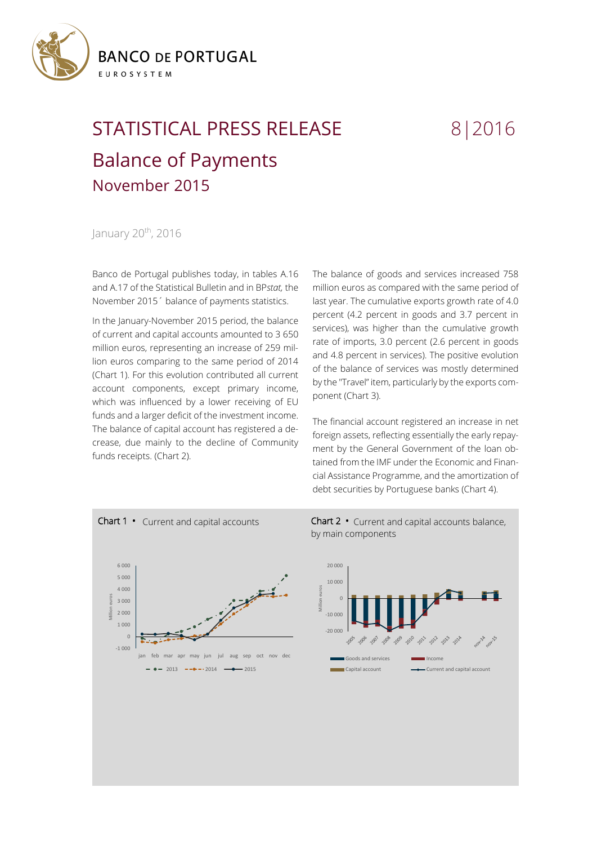

## STATISTICAL PRESS RELEASE 8 | 2016 Balance of Payments November 2015

January 20<sup>th</sup>, 2016

Banco de Portugal publishes today, in tables A.16 and A.17 of the Statistical Bulletin and in BP*stat,* the November 2015´ balance of payments statistics.

In the January-November 2015 period, the balance of current and capital accounts amounted to 3 650 million euros, representing an increase of 259 million euros comparing to the same period of 2014 (Chart 1). For this evolution contributed all current account components, except primary income, which was influenced by a lower receiving of EU funds and a larger deficit of the investment income. The balance of capital account has registered a decrease, due mainly to the decline of Community funds receipts. (Chart 2).

The balance of goods and services increased 758 million euros as compared with the same period of last year. The cumulative exports growth rate of 4.0 percent (4.2 percent in goods and 3.7 percent in services), was higher than the cumulative growth rate of imports, 3.0 percent (2.6 percent in goods and 4.8 percent in services). The positive evolution of the balance of services was mostly determined by the "Travel" item, particularly by the exports component (Chart 3).

The financial account registered an increase in net foreign assets, reflecting essentially the early repayment by the General Government of the loan obtained from the IMF under the Economic and Financial Assistance Programme, and the amortization of debt securities by Portuguese banks (Chart 4).



Chart 2 **•** Current and capital accounts balance, by main components